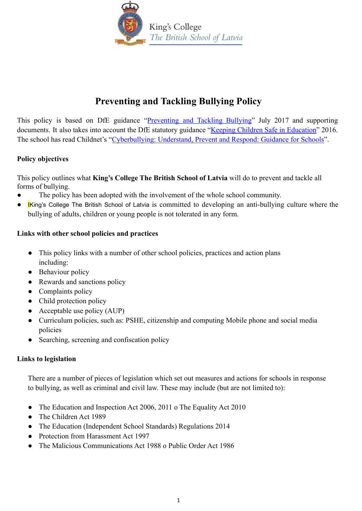

# **Preventing and Tackling Bullying Policy**

This policy is based on DfE guidance "Preventing and Tackling Bullying" July 2017 and supporting documents. It also takes into account the DfE statutory guidance "Keeping Children Safe in [Education](https://www.gov.uk/government/publications/keeping-children-safe-in-education--2)" 2016. The school has read Childnet's "Cyberbullying: Understand, Prevent and Respond: Guidance for Schools".

### **Policy objectives**

This policy outlines what **King's College The British School of Latvia** will do to prevent and tackle all forms of bullying.

- The policy has been adopted with the involvement of the whole school community.
- Iking's College The British School of Latvia is committed to developing an anti-bullying culture where the bullying of adults, children or young people is not tolerated in any form.

### **Links with other school policies and practices**

- This policy links with a number of other school policies, practices and action plans including:
- Behaviour policy
- Rewards and sanctions policy
- Complaints policy
- Child protection policy
- $\bullet$  Acceptable use policy (AUP)
- Curriculum policies, such as: PSHE, citizenship and computing Mobile phone and social media policies
- Searching, screening and confiscation policy

### **Links to legislation**

There are a number of pieces of legislation which set out measures and actions for schools in response to bullying, as well as criminal and civil law. These may include (but are not limited to):

- The Education and Inspection Act 2006, 2011 o The Equality Act 2010
- The Children Act 1989
- The Education (Independent School Standards) Regulations 2014
- Protection from Harassment Act 1997
- The Malicious Communications Act 1988 o Public Order Act 1986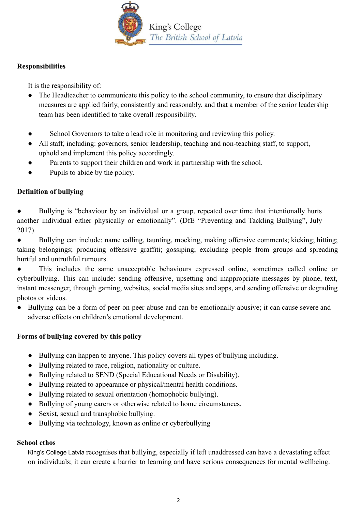

#### **Responsibilities**

It is the responsibility of:

- The Headteacher to communicate this policy to the school community, to ensure that disciplinary measures are applied fairly, consistently and reasonably, and that a member of the senior leadership team has been identified to take overall responsibility.
- School Governors to take a lead role in monitoring and reviewing this policy.
- All staff, including: governors, senior leadership, teaching and non-teaching staff, to support, uphold and implement this policy accordingly.
- Parents to support their children and work in partnership with the school.
- Pupils to abide by the policy.

### **Definition of bullying**

● Bullying is "behaviour by an individual or a group, repeated over time that intentionally hurts another individual either physically or emotionally". (DfE "Preventing and Tackling Bullying", July 2017).

● Bullying can include: name calling, taunting, mocking, making offensive comments; kicking; hitting; taking belongings; producing offensive graffiti; gossiping; excluding people from groups and spreading hurtful and untruthful rumours.

This includes the same unacceptable behaviours expressed online, sometimes called online or cyberbullying. This can include: sending offensive, upsetting and inappropriate messages by phone, text, instant messenger, through gaming, websites, social media sites and apps, and sending offensive or degrading photos or videos.

● Bullying can be a form of peer on peer abuse and can be emotionally abusive; it can cause severe and adverse effects on children's emotional development.

### **Forms of bullying covered by this policy**

- Bullying can happen to anyone. This policy covers all types of bullying including.
- Bullying related to race, religion, nationality or culture.
- Bullying related to SEND (Special Educational Needs or Disability).
- Bullying related to appearance or physical/mental health conditions.
- Bullying related to sexual orientation (homophobic bullying).
- Bullying of young carers or otherwise related to home circumstances.
- Sexist, sexual and transphobic bullying.
- Bullying via technology, known as online or cyberbullying

#### **School ethos**

King's College Latvia recognises that bullying, especially if left unaddressed can have a devastating effect on individuals; it can create a barrier to learning and have serious consequences for mental wellbeing.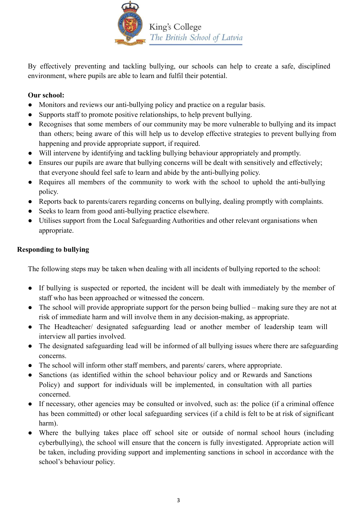

By effectively preventing and tackling bullying, our schools can help to create a safe, disciplined environment, where pupils are able to learn and fulfil their potential.

### **Our school:**

- Monitors and reviews our anti-bullying policy and practice on a regular basis.
- Supports staff to promote positive relationships, to help prevent bullying.
- Recognises that some members of our community may be more vulnerable to bullying and its impact than others; being aware of this will help us to develop effective strategies to prevent bullying from happening and provide appropriate support, if required.
- Will intervene by identifying and tackling bullying behaviour appropriately and promptly.
- Ensures our pupils are aware that bullying concerns will be dealt with sensitively and effectively; that everyone should feel safe to learn and abide by the anti-bullying policy.
- Requires all members of the community to work with the school to uphold the anti-bullying policy.
- Reports back to parents/carers regarding concerns on bullying, dealing promptly with complaints.
- Seeks to learn from good anti-bullying practice elsewhere.
- Utilises support from the Local Safeguarding Authorities and other relevant organisations when appropriate.

### **Responding to bullying**

The following steps may be taken when dealing with all incidents of bullying reported to the school:

- If bullying is suspected or reported, the incident will be dealt with immediately by the member of staff who has been approached or witnessed the concern.
- The school will provide appropriate support for the person being bullied making sure they are not at risk of immediate harm and will involve them in any decision-making, as appropriate.
- The Headteacher/ designated safeguarding lead or another member of leadership team will interview all parties involved.
- The designated safeguarding lead will be informed of all bullying issues where there are safeguarding concerns.
- The school will inform other staff members, and parents/ carers, where appropriate.
- Sanctions (as identified within the school behaviour policy and or Rewards and Sanctions Policy) and support for individuals will be implemented, in consultation with all parties concerned.
- If necessary, other agencies may be consulted or involved, such as: the police (if a criminal offence has been committed) or other local safeguarding services (if a child is felt to be at risk of significant harm).
- Where the bullying takes place off school site or outside of normal school hours (including cyberbullying), the school will ensure that the concern is fully investigated. Appropriate action will be taken, including providing support and implementing sanctions in school in accordance with the school's behaviour policy.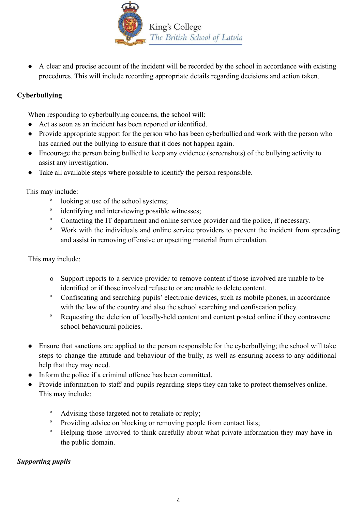

● A clear and precise account of the incident will be recorded by the school in accordance with existing procedures. This will include recording appropriate details regarding decisions and action taken.

## **Cyberbullying**

When responding to cyberbullying concerns, the school will:

- Act as soon as an incident has been reported or identified.
- Provide appropriate support for the person who has been cyberbullied and work with the person who has carried out the bullying to ensure that it does not happen again.
- Encourage the person being bullied to keep any evidence (screenshots) of the bullying activity to assist any investigation.
- Take all available steps where possible to identify the person responsible.

This may include:

- o looking at use of the school systems;
- o identifying and interviewing possible witnesses;
- <sup>o</sup> Contacting the IT department and online service provider and the police, if necessary.
- <sup>o</sup> Work with the individuals and online service providers to prevent the incident from spreading and assist in removing offensive or upsetting material from circulation.

This may include:

- o Support reports to a service provider to remove content if those involved are unable to be identified or if those involved refuse to or are unable to delete content.
- <sup>o</sup> Confiscating and searching pupils' electronic devices, such as mobile phones, in accordance with the law of the country and also the school searching and confiscation policy.
- <sup>o</sup> Requesting the deletion of locally-held content and content posted online if they contravene school behavioural policies.
- Ensure that sanctions are applied to the person responsible for the cyberbullying; the school will take steps to change the attitude and behaviour of the bully, as well as ensuring access to any additional help that they may need.
- Inform the police if a criminal offence has been committed.
- Provide information to staff and pupils regarding steps they can take to protect themselves online. This may include:
	- <sup>o</sup> Advising those targeted not to retaliate or reply;
	- <sup>o</sup> Providing advice on blocking or removing people from contact lists;
	- <sup>o</sup> Helping those involved to think carefully about what private information they may have in the public domain.

### *Supporting pupils*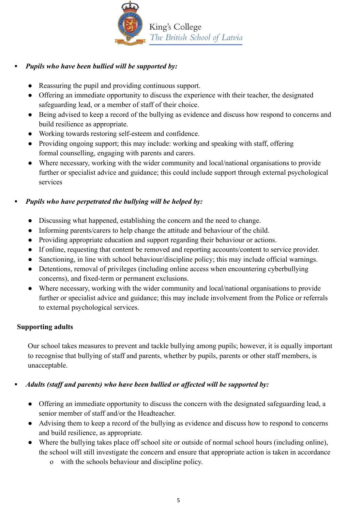

## **▪** *Pupils who have been bullied will be supported by:*

- Reassuring the pupil and providing continuous support.
- Offering an immediate opportunity to discuss the experience with their teacher, the designated safeguarding lead, or a member of staff of their choice.
- Being advised to keep a record of the bullying as evidence and discuss how respond to concerns and build resilience as appropriate.
- Working towards restoring self-esteem and confidence.
- Providing ongoing support; this may include: working and speaking with staff, offering formal counselling, engaging with parents and carers.
- Where necessary, working with the wider community and local/national organisations to provide further or specialist advice and guidance; this could include support through external psychological services

### **▪** *Pupils who have perpetrated the bullying will be helped by:*

- Discussing what happened, establishing the concern and the need to change.
- Informing parents/carers to help change the attitude and behaviour of the child.
- Providing appropriate education and support regarding their behaviour or actions.
- If online, requesting that content be removed and reporting accounts/content to service provider.
- Sanctioning, in line with school behaviour/discipline policy; this may include official warnings.
- Detentions, removal of privileges (including online access when encountering cyberbullying concerns), and fixed-term or permanent exclusions.
- Where necessary, working with the wider community and local/national organisations to provide further or specialist advice and guidance; this may include involvement from the Police or referrals to external psychological services.

### **Supporting adults**

Our school takes measures to prevent and tackle bullying among pupils; however, it is equally important to recognise that bullying of staff and parents, whether by pupils, parents or other staff members, is unacceptable.

### **▪** *Adults (staff and parents) who have been bullied or affected will be supported by:*

- Offering an immediate opportunity to discuss the concern with the designated safeguarding lead, a senior member of staff and/or the Headteacher.
- Advising them to keep a record of the bullying as evidence and discuss how to respond to concerns and build resilience, as appropriate.
- Where the bullying takes place off school site or outside of normal school hours (including online), the school will still investigate the concern and ensure that appropriate action is taken in accordance
	- o with the schools behaviour and discipline policy.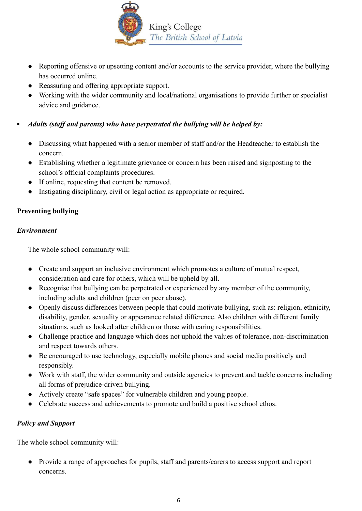

- Reporting offensive or upsetting content and/or accounts to the service provider, where the bullying has occurred online.
- Reassuring and offering appropriate support.
- Working with the wider community and local/national organisations to provide further or specialist advice and guidance.

## **▪** *Adults (staff and parents) who have perpetrated the bullying will be helped by:*

- Discussing what happened with a senior member of staff and/or the Headteacher to establish the concern.
- Establishing whether a legitimate grievance or concern has been raised and signposting to the school's official complaints procedures.
- If online, requesting that content be removed.
- Instigating disciplinary, civil or legal action as appropriate or required.

# **Preventing bullying**

### *Environment*

The whole school community will:

- Create and support an inclusive environment which promotes a culture of mutual respect, consideration and care for others, which will be upheld by all.
- Recognise that bullying can be perpetrated or experienced by any member of the community, including adults and children (peer on peer abuse).
- Openly discuss differences between people that could motivate bullying, such as: religion, ethnicity, disability, gender, sexuality or appearance related difference. Also children with different family situations, such as looked after children or those with caring responsibilities.
- Challenge practice and language which does not uphold the values of tolerance, non-discrimination and respect towards others.
- Be encouraged to use technology, especially mobile phones and social media positively and responsibly.
- Work with staff, the wider community and outside agencies to prevent and tackle concerns including all forms of prejudice-driven bullying.
- Actively create "safe spaces" for vulnerable children and young people.
- Celebrate success and achievements to promote and build a positive school ethos.

### *Policy and Support*

The whole school community will:

● Provide a range of approaches for pupils, staff and parents/carers to access support and report concerns.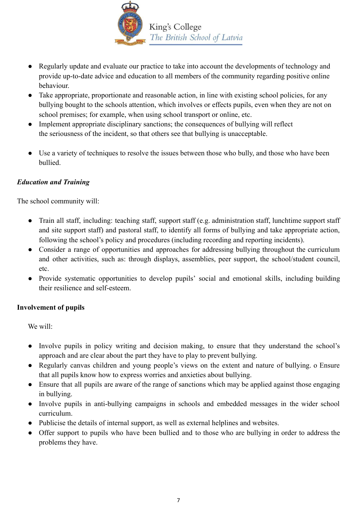

- Regularly update and evaluate our practice to take into account the developments of technology and provide up-to-date advice and education to all members of the community regarding positive online behaviour.
- Take appropriate, proportionate and reasonable action, in line with existing school policies, for any bullying bought to the schools attention, which involves or effects pupils, even when they are not on school premises; for example, when using school transport or online, etc.
- Implement appropriate disciplinary sanctions; the consequences of bullying will reflect the seriousness of the incident, so that others see that bullying is unacceptable.
- Use a variety of techniques to resolve the issues between those who bully, and those who have been bullied.

### *Education and Training*

The school community will:

- Train all staff, including: teaching staff, support staff (e.g. administration staff, lunchtime support staff and site support staff) and pastoral staff, to identify all forms of bullying and take appropriate action, following the school's policy and procedures (including recording and reporting incidents).
- Consider a range of opportunities and approaches for addressing bullying throughout the curriculum and other activities, such as: through displays, assemblies, peer support, the school/student council, etc.
- Provide systematic opportunities to develop pupils' social and emotional skills, including building their resilience and self-esteem.

### **Involvement of pupils**

We will:

- Involve pupils in policy writing and decision making, to ensure that they understand the school's approach and are clear about the part they have to play to prevent bullying.
- Regularly canvas children and young people's views on the extent and nature of bullying. o Ensure that all pupils know how to express worries and anxieties about bullying.
- Ensure that all pupils are aware of the range of sanctions which may be applied against those engaging in bullying.
- Involve pupils in anti-bullying campaigns in schools and embedded messages in the wider school curriculum.
- Publicise the details of internal support, as well as external helplines and websites.
- Offer support to pupils who have been bullied and to those who are bullying in order to address the problems they have.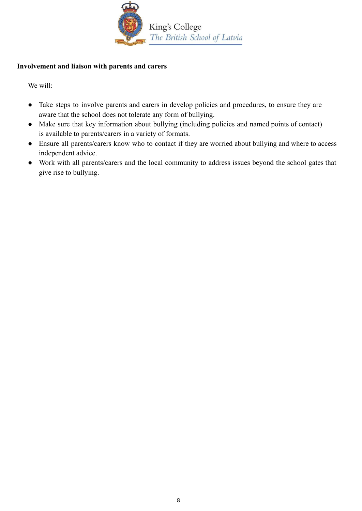

#### **Involvement and liaison with parents and carers**

We will:

- Take steps to involve parents and carers in develop policies and procedures, to ensure they are aware that the school does not tolerate any form of bullying.
- Make sure that key information about bullying (including policies and named points of contact) is available to parents/carers in a variety of formats.
- Ensure all parents/carers know who to contact if they are worried about bullying and where to access independent advice.
- Work with all parents/carers and the local community to address issues beyond the school gates that give rise to bullying.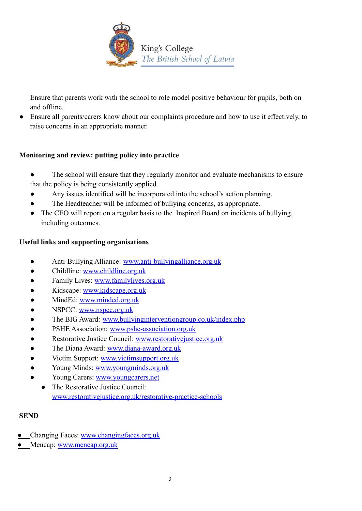

Ensure that parents work with the school to role model positive behaviour for pupils, both on and offline.

● Ensure all parents/carers know about our complaints procedure and how to use it effectively, to raise concerns in an appropriate manner.

## **Monitoring and review: putting policy into practice**

- The school will ensure that they regularly monitor and evaluate mechanisms to ensure that the policy is being consistently applied.
- Any issues identified will be incorporated into the school's action planning.
- The Headteacher will be informed of bullying concerns, as appropriate.
- The CEO will report on a regular basis to the Inspired Board on incidents of bullying, including outcomes.

### **Useful links and supporting organisations**

- Anti-Bullying Alliance: [www.anti-bullyingalliance.org.uk](http://www.anti-bullyingalliance.org.uk/)
- Childline: [www.childline.org.uk](http://www.childline.org.uk/)
- Family Lives: [www.familylives.org.uk](http://www.familylives.org.uk/)
- Kidscape: [www.kidscape.org.uk](http://www.kidscape.org.uk/)
- MindEd: [www.minded.org.uk](http://www.minded.org.uk/)
- NSPCC: [www.nspcc.org.uk](http://www.nspcc.org.uk/)
- The BIG Award: [www.bullyinginterventiongroup.co.uk/index.php](https://www.bullyinginterventiongroup.co.uk/index.php)
- PSHE Association: [www.pshe-association.org.uk](http://www.pshe-association.org.uk/)
- Restorative Justice Council: [www.restorativejustice.org.uk](http://www.restorativejustice.org.uk/)
- The Diana Award: [www.diana-award.org.uk](http://www.diana-award.org.uk/)
- Victim Support: [www.victimsupport.org.uk](http://www.victimsupport.org.uk/)
- Young Minds: [www.youngminds.org.uk](http://www.youngminds.org.uk/)
- Young Carers: [www.youngcarers.net](http://www.youngcarers.net/)
	- The Restorative Justice Council: [www.restorativejustice.org.uk/restorative-practice-schools](http://www.restorativejustice.org.uk/restorative-practice-schools)

### **SEND**

- Changing Faces: [www.changingfaces.org.uk](http://www.changingfaces.org.uk/)
- Mencap: [www.mencap.org.uk](http://www.mencap.org.uk/)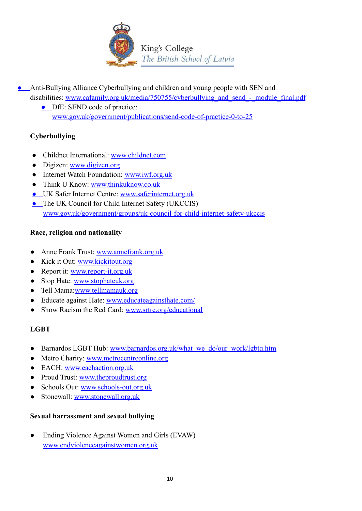

- Anti-Bullying Alliance Cyberbullying and children and young people with SEN and disabilities: www.cafamily.org.uk/media/750755/cyberbullying and send - module final.pdf
	- DfE: SEND code of practice: [www.gov.uk/government/publications/send-code-of-practice-0-to-25](https://www.gov.uk/government/publications/send-code-of-practice-0-to-25)

## **Cyberbullying**

- Childnet International: [www.childnet.com](http://www.childnet.com/)
- Digizen: [www.digizen.org](http://www.digizen.org/)
- Internet Watch Foundation: [www.iwf.org.uk](http://www.iwf.org.uk/)
- Think U Know: [www.thinkuknow.co.uk](http://www.thinkuknow.co.uk/)
- UK Safer Internet Centre: [www.saferinternet.org.uk](http://www.saferinternet.org.uk/)
- The UK Council for Child Internet Safety (UKCCIS) [www.gov.uk/government/groups/uk-council-for-child-internet-safety-ukccis](http://www.gov.uk/government/groups/uk-council-for-child-internet-safety-ukccis)

## **Race, religion and nationality**

- Anne Frank Trust: [www.annefrank.org.uk](http://www.annefrank.org.uk/)
- Kick it Out: [www.kickitout.org](http://www.kickitout.org/)
- Report it: [www.report-it.org.uk](http://www.report-it.org.uk/)
- Stop Hate: [www.stophateuk.org](http://www.stophateuk.org/)
- Tell Mama[:www.tellmamauk.org](http://www.tellmamauk.org/)
- Educate against Hate: [www.educateagainsthate.com/](http://www.educateagainsthate.com/)
- Show Racism the Red Card: [www.srtrc.org/educational](http://www.srtrc.org/educational)

# **LGBT**

- Barnardos LGBT Hub: [www.barnardos.org.uk/what\\_we\\_do/our\\_work/lgbtq.htm](http://www.barnardos.org.uk/what_we_do/our_work/lgbtq.htm)
- Metro Charity: [www.metrocentreonline.org](http://www.metrocentreonline.org/)
- EACH: [www.eachaction.org.uk](http://www.eachaction.org.uk/)
- Proud Trust: [www.theproudtrust.org](http://www.theproudtrust.org/)
- Schools Out: [www.schools-out.org.uk](http://www.schools-out.org.uk/)
- Stonewall: [www.stonewall.org.uk](http://www.stonewall.org.uk/)

### **Sexual harrassment and sexual bullying**

• Ending Violence Against Women and Girls (EVAW) [www.endviolenceagainstwomen.org.uk](http://www.endviolenceagainstwomen.org.uk/)